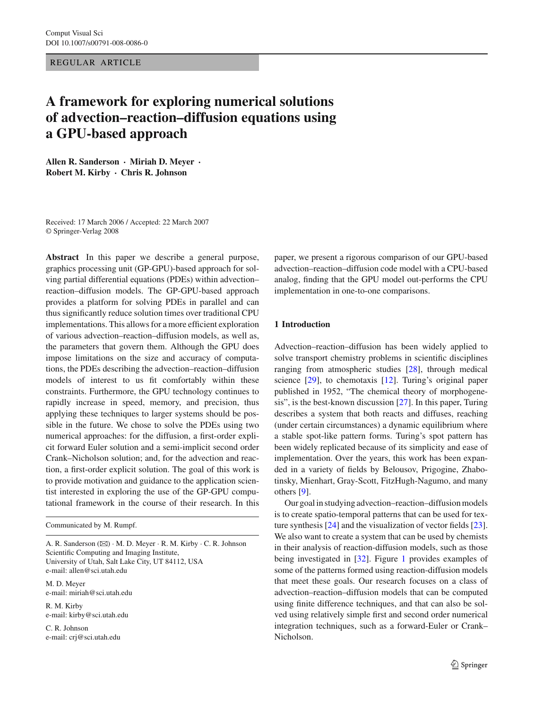REGULAR ARTICLE

# **A framework for exploring numerical solutions of advection–reaction–diffusion equations using a GPU-based approach**

**Allen R. Sanderson · Miriah D. Meyer · Robert M. Kirby · Chris R. Johnson**

Received: 17 March 2006 / Accepted: 22 March 2007 © Springer-Verlag 2008

**Abstract** In this paper we describe a general purpose, graphics processing unit (GP-GPU)-based approach for solving partial differential equations (PDEs) within advection– reaction–diffusion models. The GP-GPU-based approach provides a platform for solving PDEs in parallel and can thus significantly reduce solution times over traditional CPU implementations. This allows for a more efficient exploration of various advection–reaction–diffusion models, as well as, the parameters that govern them. Although the GPU does impose limitations on the size and accuracy of computations, the PDEs describing the advection–reaction–diffusion models of interest to us fit comfortably within these constraints. Furthermore, the GPU technology continues to rapidly increase in speed, memory, and precision, thus applying these techniques to larger systems should be possible in the future. We chose to solve the PDEs using two numerical approaches: for the diffusion, a first-order explicit forward Euler solution and a semi-implicit second order Crank–Nicholson solution; and, for the advection and reaction, a first-order explicit solution. The goal of this work is to provide motivation and guidance to the application scientist interested in exploring the use of the GP-GPU computational framework in the course of their research. In this

Communicated by M. Rumpf.

A. R. Sanderson (B) · M. D. Meyer · R. M. Kirby · C. R. Johnson Scientific Computing and Imaging Institute, University of Utah, Salt Lake City, UT 84112, USA e-mail: allen@sci.utah.edu

M. D. Meyer e-mail: miriah@sci.utah.edu

R. M. Kirby e-mail: kirby@sci.utah.edu

C. R. Johnson e-mail: crj@sci.utah.edu paper, we present a rigorous comparison of our GPU-based advection–reaction–diffusion code model with a CPU-based analog, finding that the GPU model out-performs the CPU implementation in one-to-one comparisons.

# **1 Introduction**

Advection–reaction–diffusion has been widely applied to solve transport chemistry problems in scientific disciplines ranging from atmospheric studies [\[28\]](#page-15-0), through medical science [\[29](#page-15-1)], to chemotaxis [\[12\]](#page-14-0). Turing's original paper published in 1952, "The chemical theory of morphogenesis", is the best-known discussion [\[27](#page-15-2)]. In this paper, Turing describes a system that both reacts and diffuses, reaching (under certain circumstances) a dynamic equilibrium where a stable spot-like pattern forms. Turing's spot pattern has been widely replicated because of its simplicity and ease of implementation. Over the years, this work has been expanded in a variety of fields by Belousov, Prigogine, Zhabotinsky, Mienhart, Gray-Scott, FitzHugh-Nagumo, and many others [\[9](#page-14-1)].

Our goal in studying advection–reaction–diffusion models is to create spatio-temporal patterns that can be used for texture synthesis [\[24\]](#page-14-2) and the visualization of vector fields [\[23](#page-14-3)]. We also want to create a system that can be used by chemists in their analysis of reaction-diffusion models, such as those being investigated in [\[32](#page-15-3)]. Figure [1](#page-1-0) provides examples of some of the patterns formed using reaction-diffusion models that meet these goals. Our research focuses on a class of advection–reaction–diffusion models that can be computed using finite difference techniques, and that can also be solved using relatively simple first and second order numerical integration techniques, such as a forward-Euler or Crank– Nicholson.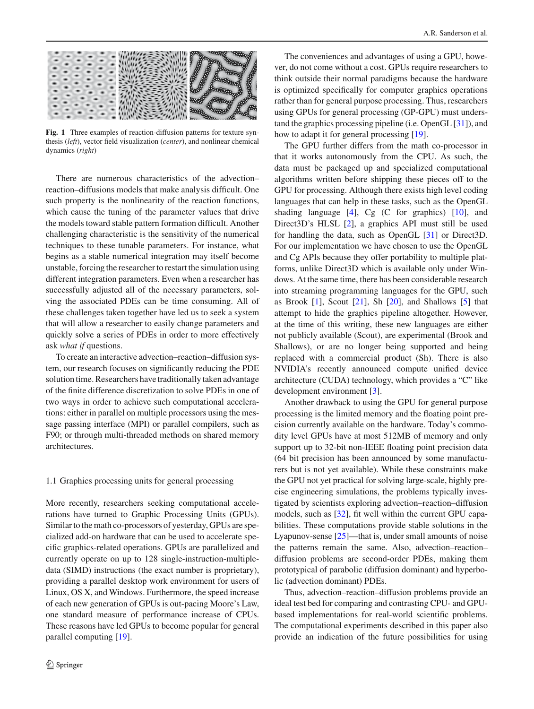

**Fig. 1** Three examples of reaction-diffusion patterns for texture synthesis (*left*), vector field visualization (*center*), and nonlinear chemical dynamics (*right*)

<span id="page-1-0"></span>There are numerous characteristics of the advection– reaction–diffusions models that make analysis difficult. One such property is the nonlinearity of the reaction functions, which cause the tuning of the parameter values that drive the models toward stable pattern formation difficult. Another challenging characteristic is the sensitivity of the numerical techniques to these tunable parameters. For instance, what begins as a stable numerical integration may itself become unstable, forcing the researcher to restart the simulation using different integration parameters. Even when a researcher has successfully adjusted all of the necessary parameters, solving the associated PDEs can be time consuming. All of these challenges taken together have led us to seek a system that will allow a researcher to easily change parameters and quickly solve a series of PDEs in order to more effectively ask *what if* questions.

To create an interactive advection–reaction–diffusion system, our research focuses on significantly reducing the PDE solution time. Researchers have traditionally taken advantage of the finite difference discretization to solve PDEs in one of two ways in order to achieve such computational accelerations: either in parallel on multiple processors using the message passing interface (MPI) or parallel compilers, such as F90; or through multi-threaded methods on shared memory architectures.

#### 1.1 Graphics processing units for general processing

More recently, researchers seeking computational accelerations have turned to Graphic Processing Units (GPUs). Similar to the math co-processors of yesterday, GPUs are specialized add-on hardware that can be used to accelerate specific graphics-related operations. GPUs are parallelized and currently operate on up to 128 single-instruction-multipledata (SIMD) instructions (the exact number is proprietary), providing a parallel desktop work environment for users of Linux, OS X, and Windows. Furthermore, the speed increase of each new generation of GPUs is out-pacing Moore's Law, one standard measure of performance increase of CPUs. These reasons have led GPUs to become popular for general parallel computing [\[19\]](#page-14-4).

The conveniences and advantages of using a GPU, however, do not come without a cost. GPUs require researchers to think outside their normal paradigms because the hardware is optimized specifically for computer graphics operations rather than for general purpose processing. Thus, researchers using GPUs for general processing (GP-GPU) must understand the graphics processing pipeline (i.e. OpenGL [\[31](#page-15-4)]), and how to adapt it for general processing [\[19](#page-14-4)].

The GPU further differs from the math co-processor in that it works autonomously from the CPU. As such, the data must be packaged up and specialized computational algorithms written before shipping these pieces off to the GPU for processing. Although there exists high level coding languages that can help in these tasks, such as the OpenGL shading language  $[4]$ , Cg  $(C$  for graphics)  $[10]$  $[10]$ , and Direct3D's HLSL [\[2\]](#page-14-7), a graphics API must still be used for handling the data, such as OpenGL [\[31](#page-15-4)] or Direct3D. For our implementation we have chosen to use the OpenGL and Cg APIs because they offer portability to multiple platforms, unlike Direct3D which is available only under Windows. At the same time, there has been considerable research into streaming programming languages for the GPU, such as Brook  $[1]$  $[1]$ , Scout  $[21]$  $[21]$ , Sh  $[20]$  $[20]$ , and Shallows  $[5]$  that attempt to hide the graphics pipeline altogether. However, at the time of this writing, these new languages are either not publicly available (Scout), are experimental (Brook and Shallows), or are no longer being supported and being replaced with a commercial product (Sh). There is also NVIDIA's recently announced compute unified device architecture (CUDA) technology, which provides a "C" like development environment [\[3](#page-14-12)].

Another drawback to using the GPU for general purpose processing is the limited memory and the floating point precision currently available on the hardware. Today's commodity level GPUs have at most 512MB of memory and only support up to 32-bit non-IEEE floating point precision data (64 bit precision has been announced by some manufacturers but is not yet available). While these constraints make the GPU not yet practical for solving large-scale, highly precise engineering simulations, the problems typically investigated by scientists exploring advection–reaction–diffusion models, such as [\[32\]](#page-15-3), fit well within the current GPU capabilities. These computations provide stable solutions in the Lyapunov-sense [\[25](#page-14-13)]—that is, under small amounts of noise the patterns remain the same. Also, advection–reaction– diffusion problems are second-order PDEs, making them prototypical of parabolic (diffusion dominant) and hyperbolic (advection dominant) PDEs.

Thus, advection–reaction–diffusion problems provide an ideal test bed for comparing and contrasting CPU- and GPUbased implementations for real-world scientific problems. The computational experiments described in this paper also provide an indication of the future possibilities for using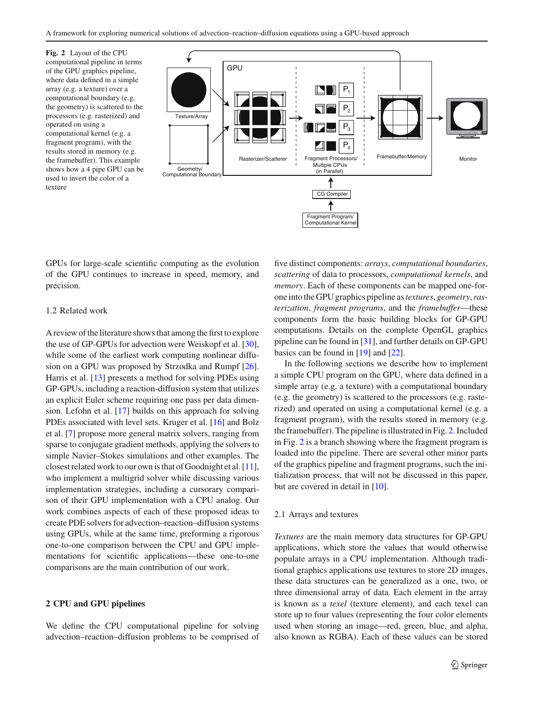<span id="page-2-0"></span>**Fig. 2** Layout of the CPU computational pipeline in terms of the GPU graphics pipeline, where data defined in a simple array (e.g. a texture) over a computational boundary (e.g. the geometry) is scattered to the processors (e.g. rasterized) and operated on using a computational kernel (e.g. a fragment program), with the results stored in memory (e.g. the framebuffer). This example shows how a 4 pipe GPU can be used to invert the color of a texture



GPUs for large-scale scientific computing as the evolution of the GPU continues to increase in speed, memory, and precision.

#### 1.2 Related work

A review of the literature shows that among the first to explore the use of GP-GPUs for advection were Weiskopf et al. [\[30](#page-15-5)], while some of the earliest work computing nonlinear diffusion on a GPU was proposed by Strzodka and Rumpf [\[26](#page-14-14)]. Harris et al. [\[13](#page-14-15)] presents a method for solving PDEs using GP-GPUs, including a reaction-diffusion system that utilizes an explicit Euler scheme requiring one pass per data dimension. Lefohn et al. [\[17](#page-14-16)] builds on this approach for solving PDEs associated with level sets. Kruger et al. [\[16\]](#page-14-17) and Bolz et al. [\[7](#page-14-18)] propose more general matrix solvers, ranging from sparse to conjugate gradient methods, applying the solvers to simple Navier–Stokes simulations and other examples. The closest related work to our own is that of Goodnight et al. [\[11](#page-14-19)], who implement a multigrid solver while discussing various implementation strategies, including a cursorary comparison of their GPU implementation with a CPU analog. Our work combines aspects of each of these proposed ideas to create PDE solvers for advection–reaction–diffusion systems using GPUs, while at the same time, preforming a rigorous one-to-one comparison between the CPU and GPU implementations for scientific applications—these one-to-one comparisons are the main contribution of our work.

# **2 CPU and GPU pipelines**

We define the CPU computational pipeline for solving advection–reaction–diffusion problems to be comprised of five distinct components: *arrays*, *computational boundaries*, *scattering* of data to processors, *computational kernels*, and *memory*. Each of these components can be mapped one-forone into the GPU graphics pipeline as*textures*, *geometry*,*rasterization*, *fragment programs*, and the *framebuffer*—these components form the basic building blocks for GP-GPU computations. Details on the complete OpenGL graphics pipeline can be found in [\[31](#page-15-4)], and further details on GP-GPU basics can be found in [\[19](#page-14-4)] and [\[22](#page-14-20)].

In the following sections we describe how to implement a simple CPU program on the GPU, where data defined in a simple array (e.g. a texture) with a computational boundary (e.g. the geometry) is scattered to the processors (e.g. rasterized) and operated on using a computational kernel (e.g. a fragment program), with the results stored in memory (e.g. the framebuffer). The pipeline is illustrated in Fig. [2.](#page-2-0) Included in Fig. [2](#page-2-0) is a branch showing where the fragment program is loaded into the pipeline. There are several other minor parts of the graphics pipeline and fragment programs, such the initialization process, that will not be discussed in this paper, but are covered in detail in [\[10\]](#page-14-6).

#### 2.1 Arrays and textures

*Textures* are the main memory data structures for GP-GPU applications, which store the values that would otherwise populate arrays in a CPU implementation. Although traditional graphics applications use textures to store 2D images, these data structures can be generalized as a one, two, or three dimensional array of data. Each element in the array is known as a *texel* (texture element), and each texel can store up to four values (representing the four color elements used when storing an image—red, green, blue, and alpha, also known as RGBA). Each of these values can be stored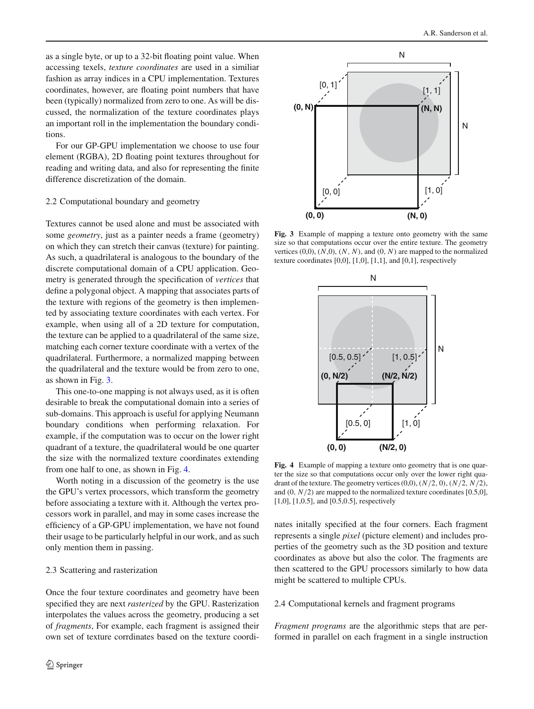as a single byte, or up to a 32-bit floating point value. When accessing texels, *texture coordinates* are used in a similiar fashion as array indices in a CPU implementation. Textures coordinates, however, are floating point numbers that have been (typically) normalized from zero to one. As will be discussed, the normalization of the texture coordinates plays an important roll in the implementation the boundary conditions.

For our GP-GPU implementation we choose to use four element (RGBA), 2D floating point textures throughout for reading and writing data, and also for representing the finite difference discretization of the domain.

# 2.2 Computational boundary and geometry

Textures cannot be used alone and must be associated with some *geometry*, just as a painter needs a frame (geometry) on which they can stretch their canvas (texture) for painting. As such, a quadrilateral is analogous to the boundary of the discrete computational domain of a CPU application. Geometry is generated through the specification of *vertices* that define a polygonal object. A mapping that associates parts of the texture with regions of the geometry is then implemented by associating texture coordinates with each vertex. For example, when using all of a 2D texture for computation, the texture can be applied to a quadrilateral of the same size, matching each corner texture coordinate with a vertex of the quadrilateral. Furthermore, a normalized mapping between the quadrilateral and the texture would be from zero to one, as shown in Fig. [3.](#page-3-0)

This one-to-one mapping is not always used, as it is often desirable to break the computational domain into a series of sub-domains. This approach is useful for applying Neumann boundary conditions when performing relaxation. For example, if the computation was to occur on the lower right quadrant of a texture, the quadrilateral would be one quarter the size with the normalized texture coordinates extending from one half to one, as shown in Fig. [4.](#page-3-1)

Worth noting in a discussion of the geometry is the use the GPU's vertex processors, which transform the geometry before associating a texture with it. Although the vertex processors work in parallel, and may in some cases increase the efficiency of a GP-GPU implementation, we have not found their usage to be particularly helpful in our work, and as such only mention them in passing.

#### 2.3 Scattering and rasterization

Once the four texture coordinates and geometry have been specified they are next *rasterized* by the GPU. Rasterization interpolates the values across the geometry, producing a set of *fragments*, For example, each fragment is assigned their own set of texture corrdinates based on the texture coordi-



<span id="page-3-0"></span>**Fig. 3** Example of mapping a texture onto geometry with the same size so that computations occur over the entire texture. The geometry vertices  $(0,0)$ ,  $(N,0)$ ,  $(N, N)$ , and  $(0, N)$  are mapped to the normalized texture coordinates [0,0], [1,0], [1,1], and [0,1], respectively



<span id="page-3-1"></span>**Fig. 4** Example of mapping a texture onto geometry that is one quarter the size so that computations occur only over the lower right quadrant of the texture. The geometry vertices (0,0),(*N*/2, 0),(*N*/2, *N*/2), and  $(0, N/2)$  are mapped to the normalized texture coordinates [0.5,0], [1,0], [1,0.5], and [0.5,0.5], respectively

nates initally specified at the four corners. Each fragment represents a single *pixel* (picture element) and includes properties of the geometry such as the 3D position and texture coordinates as above but also the color. The fragments are then scattered to the GPU processors similarly to how data might be scattered to multiple CPUs.

## 2.4 Computational kernels and fragment programs

*Fragment programs* are the algorithmic steps that are performed in parallel on each fragment in a single instruction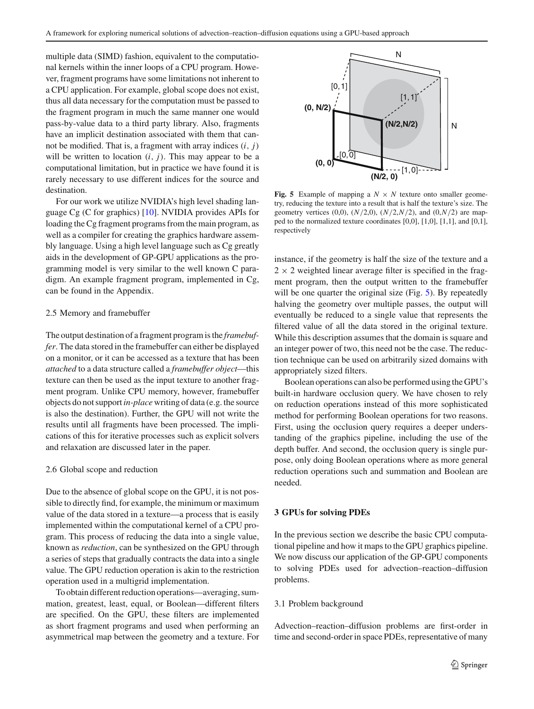multiple data (SIMD) fashion, equivalent to the computational kernels within the inner loops of a CPU program. However, fragment programs have some limitations not inherent to a CPU application. For example, global scope does not exist, thus all data necessary for the computation must be passed to the fragment program in much the same manner one would pass-by-value data to a third party library. Also, fragments have an implicit destination associated with them that cannot be modified. That is, a fragment with array indices (*i*, *j*) will be written to location  $(i, j)$ . This may appear to be a computational limitation, but in practice we have found it is rarely necessary to use different indices for the source and destination.

For our work we utilize NVIDIA's high level shading language Cg (C for graphics) [\[10\]](#page-14-6). NVIDIA provides APIs for loading the Cg fragment programs from the main program, as well as a compiler for creating the graphics hardware assembly language. Using a high level language such as Cg greatly aids in the development of GP-GPU applications as the programming model is very similar to the well known C paradigm. An example fragment program, implemented in Cg, can be found in the Appendix.

# 2.5 Memory and framebuffer

The output destination of a fragment program is the *framebuffer*. The data stored in the framebuffer can either be displayed on a monitor, or it can be accessed as a texture that has been *attached* to a data structure called a *framebuffer object*—this texture can then be used as the input texture to another fragment program. Unlike CPU memory, however, framebuffer objects do not support *in-place* writing of data (e.g. the source is also the destination). Further, the GPU will not write the results until all fragments have been processed. The implications of this for iterative processes such as explicit solvers and relaxation are discussed later in the paper.

# 2.6 Global scope and reduction

Due to the absence of global scope on the GPU, it is not possible to directly find, for example, the minimum or maximum value of the data stored in a texture—a process that is easily implemented within the computational kernel of a CPU program. This process of reducing the data into a single value, known as *reduction*, can be synthesized on the GPU through a series of steps that gradually contracts the data into a single value. The GPU reduction operation is akin to the restriction operation used in a multigrid implementation.

To obtain different reduction operations—averaging, summation, greatest, least, equal, or Boolean—different filters are specified. On the GPU, these filters are implemented as short fragment programs and used when performing an asymmetrical map between the geometry and a texture. For



<span id="page-4-0"></span>**Fig. 5** Example of mapping a  $N \times N$  texture onto smaller geometry, reducing the texture into a result that is half the texture's size. The geometry vertices (0,0), (*N*/2,0), (*N*/2,*N*/2), and (0,*N*/2) are mapped to the normalized texture coordinates [0,0], [1,0], [1,1], and [0,1], respectively

instance, if the geometry is half the size of the texture and a  $2 \times 2$  weighted linear average filter is specified in the fragment program, then the output written to the framebuffer will be one quarter the original size (Fig. [5\)](#page-4-0). By repeatedly halving the geometry over multiple passes, the output will eventually be reduced to a single value that represents the filtered value of all the data stored in the original texture. While this description assumes that the domain is square and an integer power of two, this need not be the case. The reduction technique can be used on arbitrarily sized domains with appropriately sized filters.

Boolean operations can also be performed using the GPU's built-in hardware occlusion query. We have chosen to rely on reduction operations instead of this more sophisticated method for performing Boolean operations for two reasons. First, using the occlusion query requires a deeper understanding of the graphics pipeline, including the use of the depth buffer. And second, the occlusion query is single purpose, only doing Boolean operations where as more general reduction operations such and summation and Boolean are needed.

# **3 GPUs for solving PDEs**

In the previous section we describe the basic CPU computational pipeline and how it maps to the GPU graphics pipeline. We now discuss our application of the GP-GPU components to solving PDEs used for advection–reaction–diffusion problems.

# 3.1 Problem background

Advection–reaction–diffusion problems are first-order in time and second-order in space PDEs, representative of many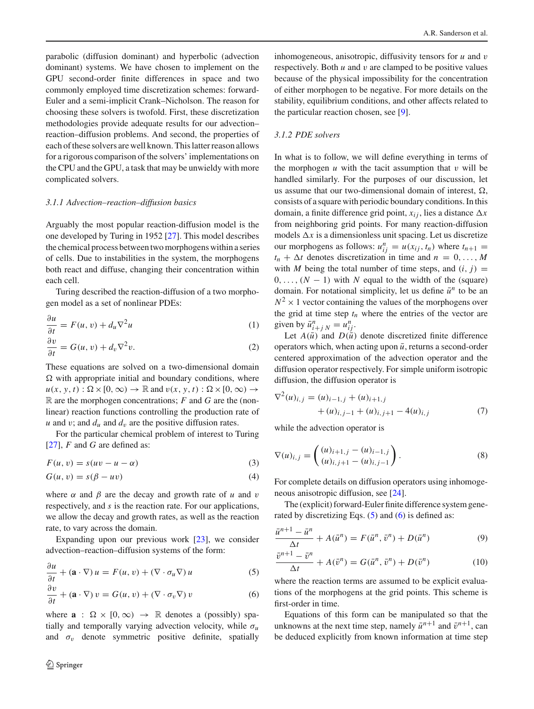parabolic (diffusion dominant) and hyperbolic (advection dominant) systems. We have chosen to implement on the GPU second-order finite differences in space and two commonly employed time discretization schemes: forward-Euler and a semi-implicit Crank–Nicholson. The reason for choosing these solvers is twofold. First, these discretization methodologies provide adequate results for our advection– reaction–diffusion problems. And second, the properties of each of these solvers are well known. This latter reason allows for a rigorous comparison of the solvers' implementations on the CPU and the GPU, a task that may be unwieldy with more complicated solvers.

#### *3.1.1 Advection–reaction–diffusion basics*

Arguably the most popular reaction-diffusion model is the one developed by Turing in 1952 [\[27\]](#page-15-2). This model describes the chemical process between two morphogens within a series of cells. Due to instabilities in the system, the morphogens both react and diffuse, changing their concentration within each cell.

Turing described the reaction-diffusion of a two morphogen model as a set of nonlinear PDEs:

$$
\frac{\partial u}{\partial t} = F(u, v) + d_u \nabla^2 u \tag{1}
$$

$$
\frac{\partial v}{\partial t} = G(u, v) + d_v \nabla^2 v.
$$
 (2)

These equations are solved on a two-dimensional domain  $\Omega$  with appropriate initial and boundary conditions, where  $u(x, y, t) : \Omega \times [0, \infty) \to \mathbb{R}$  and  $v(x, y, t) : \Omega \times [0, \infty) \to$ R are the morphogen concentrations; *F* and *G* are the (nonlinear) reaction functions controlling the production rate of *u* and *v*; and  $d_u$  and  $d_v$  are the positive diffusion rates.

For the particular chemical problem of interest to Turing [\[27](#page-15-2)], *F* and *G* are defined as:

$$
F(u, v) = s(uv - u - \alpha)
$$
\n(3)

$$
G(u, v) = s(\beta - uv)
$$
\n<sup>(4)</sup>

where  $\alpha$  and  $\beta$  are the decay and growth rate of  $u$  and  $v$ respectively, and *s* is the reaction rate. For our applications, we allow the decay and growth rates, as well as the reaction rate, to vary across the domain.

Expanding upon our previous work [\[23\]](#page-14-3), we consider advection–reaction–diffusion systems of the form:

<span id="page-5-0"></span>
$$
\frac{\partial u}{\partial t} + (\mathbf{a} \cdot \nabla) u = F(u, v) + (\nabla \cdot \sigma_u \nabla) u \tag{5}
$$

$$
\frac{\partial v}{\partial t} + (\mathbf{a} \cdot \nabla) v = G(u, v) + (\nabla \cdot \sigma_v \nabla) v \tag{6}
$$

where  $\mathbf{a}$  :  $\Omega \times [0, \infty) \rightarrow \mathbb{R}$  denotes a (possibly) spatially and temporally varying advection velocity, while  $\sigma_u$ and  $\sigma_v$  denote symmetric positive definite, spatially inhomogeneous, anisotropic, diffusivity tensors for *u* and v respectively. Both  $u$  and  $v$  are clamped to be positive values because of the physical impossibility for the concentration of either morphogen to be negative. For more details on the stability, equilibrium conditions, and other affects related to the particular reaction chosen, see [\[9](#page-14-1)].

#### *3.1.2 PDE solvers*

In what is to follow, we will define everything in terms of the morphogen  $u$  with the tacit assumption that  $v$  will be handled similarly. For the purposes of our discussion, let us assume that our two-dimensional domain of interest,  $\Omega$ , consists of a square with periodic boundary conditions. In this domain, a finite difference grid point,  $x_{ij}$ , lies a distance  $\Delta x$ from neighboring grid points. For many reaction-diffusion models  $\Delta x$  is a dimensionless unit spacing. Let us discretize our morphogens as follows:  $u_{ij}^n = u(x_{ij}, t_n)$  where  $t_{n+1} =$  $t_n + \Delta t$  denotes discretization in time and  $n = 0, \ldots, M$ with *M* being the total number of time steps, and  $(i, j)$  $0, \ldots, (N-1)$  with *N* equal to the width of the (square) domain. For notational simplicity, let us define  $\bar{u}^n$  to be an  $N^2 \times 1$  vector containing the values of the morphogens over the grid at time step  $t_n$  where the entries of the vector are given by  $\bar{u}_{i+j}^n N = u_{ij}^n$ .

Let  $A(\bar{u})$  and  $D(\bar{u})$  denote discretized finite difference operators which, when acting upon  $\bar{u}$ , returns a second-order centered approximation of the advection operator and the diffusion operator respectively. For simple uniform isotropic diffusion, the diffusion operator is

$$
\nabla^2(u)_{i,j} = (u)_{i-1,j} + (u)_{i+1,j} + (u)_{i,j-1} + (u)_{i,j+1} - 4(u)_{i,j}
$$
(7)

while the advection operator is

$$
\nabla(u)_{i,j} = \begin{pmatrix} (u)_{i+1,j} - (u)_{i-1,j} \\ (u)_{i,j+1} - (u)_{i,j-1} \end{pmatrix}.
$$
 (8)

For complete details on diffusion operators using inhomogeneous anisotropic diffusion, see [\[24\]](#page-14-2).

The (explicit) forward-Euler finite difference system generated by discretizing Eqs.  $(5)$  and  $(6)$  is defined as:

<span id="page-5-1"></span>
$$
\frac{\bar{u}^{n+1} - \bar{u}^n}{\Delta t} + A(\bar{u}^n) = F(\bar{u}^n, \bar{v}^n) + D(\bar{u}^n)
$$
\n(9)

$$
\frac{\bar{v}^{n+1} - \bar{v}^n}{\Delta t} + A(\bar{v}^n) = G(\bar{u}^n, \bar{v}^n) + D(\bar{v}^n)
$$
(10)

where the reaction terms are assumed to be explicit evaluations of the morphogens at the grid points. This scheme is first-order in time.

Equations of this form can be manipulated so that the unknowns at the next time step, namely  $\bar{u}^{n+1}$  and  $\bar{v}^{n+1}$ , can be deduced explicitly from known information at time step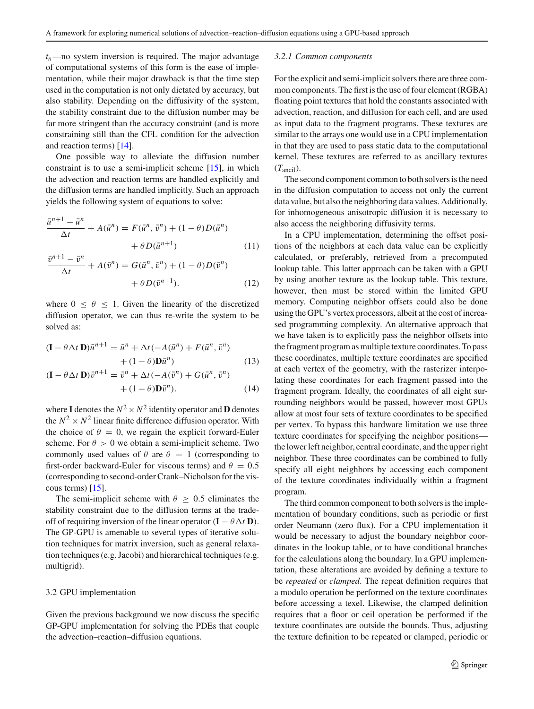$t_n$ —no system inversion is required. The major advantage of computational systems of this form is the ease of implementation, while their major drawback is that the time step used in the computation is not only dictated by accuracy, but also stability. Depending on the diffusivity of the system, the stability constraint due to the diffusion number may be far more stringent than the accuracy constraint (and is more constraining still than the CFL condition for the advection and reaction terms) [\[14\]](#page-14-21).

One possible way to alleviate the diffusion number constraint is to use a semi-implicit scheme [\[15](#page-14-22)], in which the advection and reaction terms are handled explicitly and the diffusion terms are handled implicitly. Such an approach yields the following system of equations to solve:

$$
\frac{\bar{u}^{n+1} - \bar{u}^n}{\Delta t} + A(\bar{u}^n) = F(\bar{u}^n, \bar{v}^n) + (1 - \theta)D(\bar{u}^n) + \theta D(\bar{u}^{n+1})
$$
\n(11)

$$
\frac{v^{n+1} - v^n}{\Delta t} + A(\bar{v}^n) = G(\bar{u}^n, \bar{v}^n) + (1 - \theta)D(\bar{v}^n)
$$

$$
+ \theta D(\bar{v}^{n+1}). \tag{12}
$$

where  $0 \le \theta \le 1$ . Given the linearity of the discretized diffusion operator, we can thus re-write the system to be solved as:

<span id="page-6-0"></span>
$$
(\mathbf{I} - \theta \Delta t \mathbf{D})\bar{u}^{n+1} = \bar{u}^n + \Delta t(-A(\bar{u}^n) + F(\bar{u}^n, \bar{v}^n) + (1 - \theta)\mathbf{D}\bar{u}^n)
$$
(13)

$$
(\mathbf{I} - \theta \Delta t \mathbf{D})\bar{v}^{n+1} = \bar{v}^n + \Delta t(-A(\bar{v}^n) + G(\bar{u}^n, \bar{v}^n) + (1 - \theta)\mathbf{D}\bar{v}^n).
$$
 (14)

where **I** denotes the  $N^2 \times N^2$  identity operator and **D** denotes the  $N^2 \times N^2$  linear finite difference diffusion operator. With the choice of  $\theta = 0$ , we regain the explicit forward-Euler scheme. For  $\theta > 0$  we obtain a semi-implicit scheme. Two commonly used values of  $\theta$  are  $\theta = 1$  (corresponding to first-order backward-Euler for viscous terms) and  $\theta = 0.5$ (corresponding to second-order Crank–Nicholson for the viscous terms) [\[15](#page-14-22)].

The semi-implicit scheme with  $\theta \geq 0.5$  eliminates the stability constraint due to the diffusion terms at the tradeoff of requiring inversion of the linear operator ( $I - \theta \Delta t D$ ). The GP-GPU is amenable to several types of iterative solution techniques for matrix inversion, such as general relaxation techniques (e.g. Jacobi) and hierarchical techniques (e.g. multigrid).

#### 3.2 GPU implementation

Given the previous background we now discuss the specific GP-GPU implementation for solving the PDEs that couple the advection–reaction–diffusion equations.

#### *3.2.1 Common components*

For the explicit and semi-implicit solvers there are three common components. The first is the use of four element (RGBA) floating point textures that hold the constants associated with advection, reaction, and diffusion for each cell, and are used as input data to the fragment programs. These textures are similar to the arrays one would use in a CPU implementation in that they are used to pass static data to the computational kernel. These textures are referred to as ancillary textures (*T*ancil).

The second component common to both solvers is the need in the diffusion computation to access not only the current data value, but also the neighboring data values. Additionally, for inhomogeneous anisotropic diffusion it is necessary to also access the neighboring diffusivity terms.

In a CPU implementation, determining the offset positions of the neighbors at each data value can be explicitly calculated, or preferably, retrieved from a precomputed lookup table. This latter approach can be taken with a GPU by using another texture as the lookup table. This texture, however, then must be stored within the limited GPU memory. Computing neighbor offsets could also be done using the GPU's vertex processors, albeit at the cost of increased programming complexity. An alternative approach that we have taken is to explicitly pass the neighbor offsets into the fragment program as multiple texture coordinates. To pass these coordinates, multiple texture coordinates are specified at each vertex of the geometry, with the rasterizer interpolating these coordinates for each fragment passed into the fragment program. Ideally, the coordinates of all eight surrounding neighbors would be passed, however most GPUs allow at most four sets of texture coordinates to be specified per vertex. To bypass this hardware limitation we use three texture coordinates for specifying the neighbor positions the lower left neighbor, central coordinate, and the upper right neighbor. These three coordinates can be combined to fully specify all eight neighbors by accessing each component of the texture coordinates individually within a fragment program.

The third common component to both solvers is the implementation of boundary conditions, such as periodic or first order Neumann (zero flux). For a CPU implementation it would be necessary to adjust the boundary neighbor coordinates in the lookup table, or to have conditional branches for the calculations along the boundary. In a GPU implementation, these alterations are avoided by defining a texture to be *repeated* or *clamped*. The repeat definition requires that a modulo operation be performed on the texture coordinates before accessing a texel. Likewise, the clamped definition requires that a floor or ceil operation be performed if the texture coordinates are outside the bounds. Thus, adjusting the texture definition to be repeated or clamped, periodic or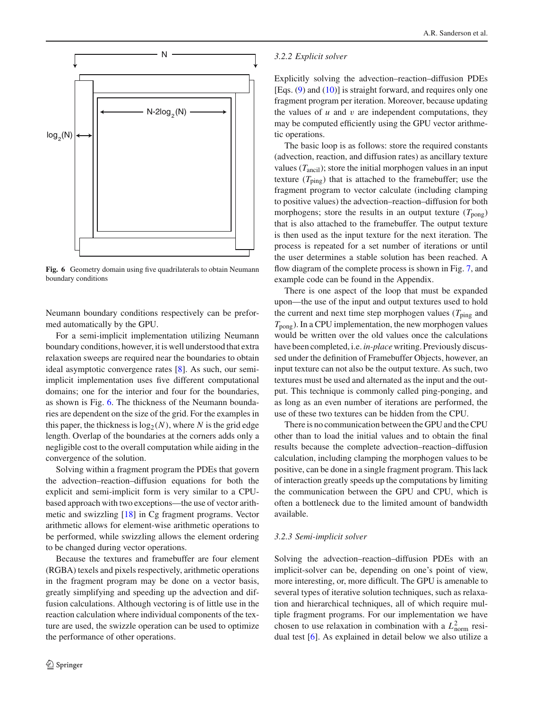

<span id="page-7-0"></span>**Fig. 6** Geometry domain using five quadrilaterals to obtain Neumann boundary conditions

Neumann boundary conditions respectively can be preformed automatically by the GPU.

For a semi-implicit implementation utilizing Neumann boundary conditions, however, it is well understood that extra relaxation sweeps are required near the boundaries to obtain ideal asymptotic convergence rates [\[8](#page-14-23)]. As such, our semiimplicit implementation uses five different computational domains; one for the interior and four for the boundaries, as shown is Fig. [6.](#page-7-0) The thickness of the Neumann boundaries are dependent on the size of the grid. For the examples in this paper, the thickness is  $log_2(N)$ , where *N* is the grid edge length. Overlap of the boundaries at the corners adds only a negligible cost to the overall computation while aiding in the convergence of the solution.

Solving within a fragment program the PDEs that govern the advection–reaction–diffusion equations for both the explicit and semi-implicit form is very similar to a CPUbased approach with two exceptions—the use of vector arithmetic and swizzling [\[18\]](#page-14-24) in Cg fragment programs. Vector arithmetic allows for element-wise arithmetic operations to be performed, while swizzling allows the element ordering to be changed during vector operations.

Because the textures and framebuffer are four element (RGBA) texels and pixels respectively, arithmetic operations in the fragment program may be done on a vector basis, greatly simplifying and speeding up the advection and diffusion calculations. Although vectoring is of little use in the reaction calculation where individual components of the texture are used, the swizzle operation can be used to optimize the performance of other operations.

 $log_2(N)$ 

#### *3.2.2 Explicit solver*

Explicitly solving the advection–reaction–diffusion PDEs [Eqs.  $(9)$  and  $(10)$ ] is straight forward, and requires only one fragment program per iteration. Moreover, because updating the values of  $u$  and  $v$  are independent computations, they may be computed efficiently using the GPU vector arithmetic operations.

The basic loop is as follows: store the required constants (advection, reaction, and diffusion rates) as ancillary texture values  $(T_{\text{ancil}})$ ; store the initial morphogen values in an input texture  $(T_{\text{ping}})$  that is attached to the framebuffer; use the fragment program to vector calculate (including clamping to positive values) the advection–reaction–diffusion for both morphogens; store the results in an output texture  $(T_{\text{pong}})$ that is also attached to the framebuffer. The output texture is then used as the input texture for the next iteration. The process is repeated for a set number of iterations or until the user determines a stable solution has been reached. A flow diagram of the complete process is shown in Fig. [7,](#page-8-0) and example code can be found in the Appendix.

There is one aspect of the loop that must be expanded upon—the use of the input and output textures used to hold the current and next time step morphogen values  $(T_{\text{ping}}$  and *T*pong). In a CPU implementation, the new morphogen values would be written over the old values once the calculations have been completed, i.e. *in-place* writing. Previously discussed under the definition of Framebuffer Objects, however, an input texture can not also be the output texture. As such, two textures must be used and alternated as the input and the output. This technique is commonly called ping-ponging, and as long as an even number of iterations are performed, the use of these two textures can be hidden from the CPU.

There is no communication between the GPU and the CPU other than to load the initial values and to obtain the final results because the complete advection–reaction–diffusion calculation, including clamping the morphogen values to be positive, can be done in a single fragment program. This lack of interaction greatly speeds up the computations by limiting the communication between the GPU and CPU, which is often a bottleneck due to the limited amount of bandwidth available.

# *3.2.3 Semi-implicit solver*

Solving the advection–reaction–diffusion PDEs with an implicit-solver can be, depending on one's point of view, more interesting, or, more difficult. The GPU is amenable to several types of iterative solution techniques, such as relaxation and hierarchical techniques, all of which require multiple fragment programs. For our implementation we have chosen to use relaxation in combination with a  $L_{\text{norm}}^2$  residual test [\[6](#page-14-25)]. As explained in detail below we also utilize a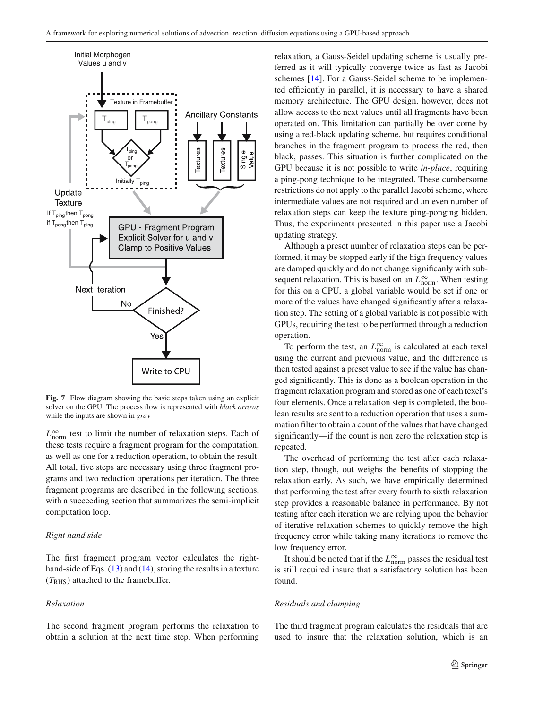

<span id="page-8-0"></span>**Fig. 7** Flow diagram showing the basic steps taken using an explicit solver on the GPU. The process flow is represented with *black arrows* while the inputs are shown in *gray*

 $L_{\text{norm}}^{\infty}$  test to limit the number of relaxation steps. Each of these tests require a fragment program for the computation, as well as one for a reduction operation, to obtain the result. All total, five steps are necessary using three fragment programs and two reduction operations per iteration. The three fragment programs are described in the following sections, with a succeeding section that summarizes the semi-implicit computation loop.

#### *Right hand side*

The first fragment program vector calculates the righthand-side of Eqs.  $(13)$  and  $(14)$ , storing the results in a texture  $(T_{\rm RHS})$  attached to the framebuffer.

# *Relaxation*

The second fragment program performs the relaxation to obtain a solution at the next time step. When performing relaxation, a Gauss-Seidel updating scheme is usually preferred as it will typically converge twice as fast as Jacobi schemes [\[14](#page-14-21)]. For a Gauss-Seidel scheme to be implemented efficiently in parallel, it is necessary to have a shared memory architecture. The GPU design, however, does not allow access to the next values until all fragments have been operated on. This limitation can partially be over come by using a red-black updating scheme, but requires conditional branches in the fragment program to process the red, then black, passes. This situation is further complicated on the GPU because it is not possible to write *in-place*, requiring a ping-pong technique to be integrated. These cumbersome restrictions do not apply to the parallel Jacobi scheme, where intermediate values are not required and an even number of relaxation steps can keep the texture ping-ponging hidden. Thus, the experiments presented in this paper use a Jacobi updating strategy.

Although a preset number of relaxation steps can be performed, it may be stopped early if the high frequency values are damped quickly and do not change significanly with subsequent relaxation. This is based on an  $L_{\text{norm}}^{\infty}$ . When testing for this on a CPU, a global variable would be set if one or more of the values have changed significantly after a relaxation step. The setting of a global variable is not possible with GPUs, requiring the test to be performed through a reduction operation.

To perform the test, an  $L_{\text{norm}}^{\infty}$  is calculated at each texel using the current and previous value, and the difference is then tested against a preset value to see if the value has changed significantly. This is done as a boolean operation in the fragment relaxation program and stored as one of each texel's four elements. Once a relaxation step is completed, the boolean results are sent to a reduction operation that uses a summation filter to obtain a count of the values that have changed significantly—if the count is non zero the relaxation step is repeated.

The overhead of performing the test after each relaxation step, though, out weighs the benefits of stopping the relaxation early. As such, we have empirically determined that performing the test after every fourth to sixth relaxation step provides a reasonable balance in performance. By not testing after each iteration we are relying upon the behavior of iterative relaxation schemes to quickly remove the high frequency error while taking many iterations to remove the low frequency error.

It should be noted that if the  $L_{\text{norm}}^{\infty}$  passes the residual test is still required insure that a satisfactory solution has been found.

#### *Residuals and clamping*

The third fragment program calculates the residuals that are used to insure that the relaxation solution, which is an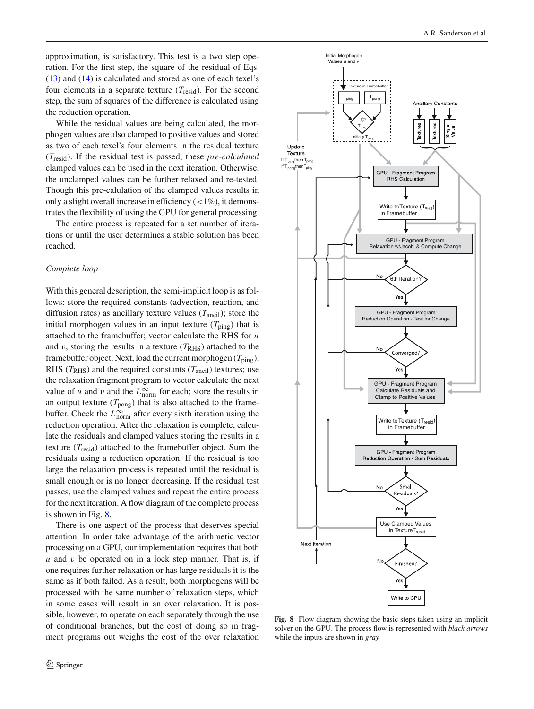approximation, is satisfactory. This test is a two step operation. For the first step, the square of the residual of Eqs. [\(13\)](#page-6-0) and [\(14\)](#page-6-0) is calculated and stored as one of each texel's four elements in a separate texture  $(T_{\text{resid}})$ . For the second step, the sum of squares of the difference is calculated using the reduction operation.

While the residual values are being calculated, the morphogen values are also clamped to positive values and stored as two of each texel's four elements in the residual texture (*T*resid). If the residual test is passed, these *pre-calculated* clamped values can be used in the next iteration. Otherwise, the unclamped values can be further relaxed and re-tested. Though this pre-calulation of the clamped values results in only a slight overall increase in efficiency  $\left($  <1%), it demonstrates the flexibility of using the GPU for general processing.

The entire process is repeated for a set number of iterations or until the user determines a stable solution has been reached.

#### *Complete loop*

With this general description, the semi-implicit loop is as follows: store the required constants (advection, reaction, and diffusion rates) as ancillary texture values  $(T_{\text{ancil}})$ ; store the initial morphogen values in an input texture  $(T_{\text{ping}})$  that is attached to the framebuffer; vector calculate the RHS for *u* and v, storing the results in a texture  $(T<sub>RHS</sub>)$  attached to the framebuffer object. Next, load the current morphogen  $(T_{\text{ping}})$ , RHS ( $T_{\rm RHS}$ ) and the required constants ( $T_{\rm ancil}$ ) textures; use the relaxation fragment program to vector calculate the next value of *u* and *v* and the  $L_{\text{norm}}^{\infty}$  for each; store the results in an output texture  $(T_{\text{pong}})$  that is also attached to the framebuffer. Check the  $L_{\text{norm}}^{\infty}$  after every sixth iteration using the reduction operation. After the relaxation is complete, calculate the residuals and clamped values storing the results in a texture (*T*resid) attached to the framebuffer object. Sum the residuals using a reduction operation. If the residual is too large the relaxation process is repeated until the residual is small enough or is no longer decreasing. If the residual test passes, use the clamped values and repeat the entire process for the next iteration. A flow diagram of the complete process is shown in Fig. [8.](#page-9-0)

There is one aspect of the process that deserves special attention. In order take advantage of the arithmetic vector processing on a GPU, our implementation requires that both  $u$  and  $v$  be operated on in a lock step manner. That is, if one requires further relaxation or has large residuals it is the same as if both failed. As a result, both morphogens will be processed with the same number of relaxation steps, which in some cases will result in an over relaxation. It is possible, however, to operate on each separately through the use of conditional branches, but the cost of doing so in fragment programs out weighs the cost of the over relaxation



<span id="page-9-0"></span>**Fig. 8** Flow diagram showing the basic steps taken using an implicit solver on the GPU. The process flow is represented with *black arrows* while the inputs are shown in *gray*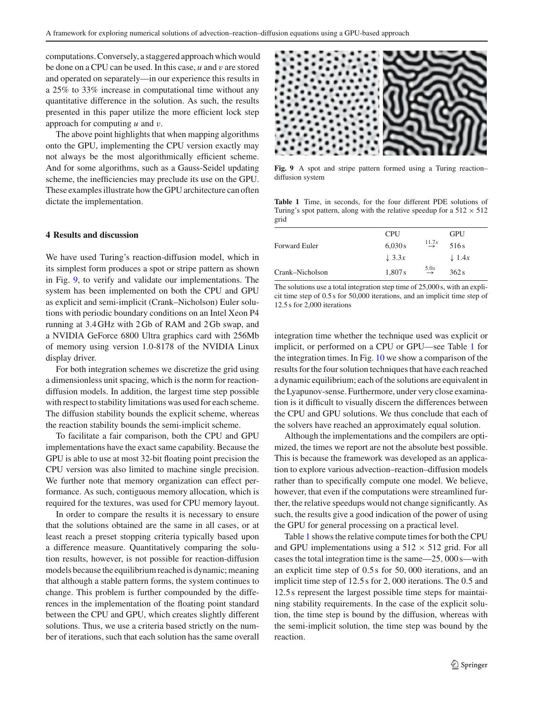computations. Conversely, a staggered approach which would be done on a CPU can be used. In this case, *u* and v are stored and operated on separately—in our experience this results in a 25% to 33% increase in computational time without any quantitative difference in the solution. As such, the results presented in this paper utilize the more efficient lock step approach for computing *u* and v.

The above point highlights that when mapping algorithms onto the GPU, implementing the CPU version exactly may not always be the most algorithmically efficient scheme. And for some algorithms, such as a Gauss-Seidel updating scheme, the inefficiencies may preclude its use on the GPU. These examples illustrate how the GPU architecture can often dictate the implementation.

# **4 Results and discussion**

We have used Turing's reaction-diffusion model, which in its simplest form produces a spot or stripe pattern as shown in Fig. [9,](#page-10-0) to verify and validate our implementations. The system has been implemented on both the CPU and GPU as explicit and semi-implicit (Crank–Nicholson) Euler solutions with periodic boundary conditions on an Intel Xeon P4 running at 3.4 GHz with 2 Gb of RAM and 2 Gb swap, and a NVIDIA GeForce 6800 Ultra graphics card with 256Mb of memory using version 1.0-8178 of the NVIDIA Linux display driver.

For both integration schemes we discretize the grid using a dimensionless unit spacing, which is the norm for reactiondiffusion models. In addition, the largest time step possible with respect to stability limitations was used for each scheme. The diffusion stability bounds the explicit scheme, whereas the reaction stability bounds the semi-implicit scheme.

To facilitate a fair comparison, both the CPU and GPU implementations have the exact same capability. Because the GPU is able to use at most 32-bit floating point precision the CPU version was also limited to machine single precision. We further note that memory organization can effect performance. As such, contiguous memory allocation, which is required for the textures, was used for CPU memory layout.

In order to compare the results it is necessary to ensure that the solutions obtained are the same in all cases, or at least reach a preset stopping criteria typically based upon a difference measure. Quantitatively comparing the solution results, however, is not possible for reaction-diffusion models because the equilibrium reached is dynamic; meaning that although a stable pattern forms, the system continues to change. This problem is further compounded by the differences in the implementation of the floating point standard between the CPU and GPU, which creates slightly different solutions. Thus, we use a criteria based strictly on the number of iterations, such that each solution has the same overall



**Fig. 9** A spot and stripe pattern formed using a Turing reaction– diffusion system

<span id="page-10-1"></span><span id="page-10-0"></span>**Table 1** Time, in seconds, for the four different PDE solutions of Turing's spot pattern, along with the relative speedup for a  $512 \times 512$ grid

| <b>CPU</b>        |                      | <b>GPU</b>                     |
|-------------------|----------------------|--------------------------------|
| 6,030s            |                      | 516s                           |
| $\downarrow$ 3.3x |                      | $\downarrow$ 1.4x              |
| 1,807 s           | $\xrightarrow{5.0x}$ | 362s                           |
|                   |                      | $\overset{11.7x}{\rightarrow}$ |

The solutions use a total integration step time of 25,000 s, with an explicit time step of 0.5 s for 50,000 iterations, and an implicit time step of 12.5 s for 2,000 iterations

integration time whether the technique used was explicit or implicit, or performed on a CPU or GPU—see Table [1](#page-10-1) for the integration times. In Fig. [10](#page-11-0) we show a comparison of the results for the four solution techniques that have each reached a dynamic equilibrium; each of the solutions are equivalent in the Lyapunov-sense. Furthermore, under very close examination is it difficult to visually discern the differences between the CPU and GPU solutions. We thus conclude that each of the solvers have reached an approximately equal solution.

Although the implementations and the compilers are optimized, the times we report are not the absolute best possible. This is because the framework was developed as an application to explore various advection–reaction–diffusion models rather than to specifically compute one model. We believe, however, that even if the computations were streamlined further, the relative speedups would not change significantly. As such, the results give a good indication of the power of using the GPU for general processing on a practical level.

Table [1](#page-10-1) shows the relative compute times for both the CPU and GPU implementations using a  $512 \times 512$  grid. For all cases the total integration time is the same—25, 000 s—with an explicit time step of 0.5 s for 50, 000 iterations, and an implicit time step of 12.5 s for 2, 000 iterations. The 0.5 and 12.5 s represent the largest possible time steps for maintaining stability requirements. In the case of the explicit solution, the time step is bound by the diffusion, whereas with the semi-implicit solution, the time step was bound by the reaction.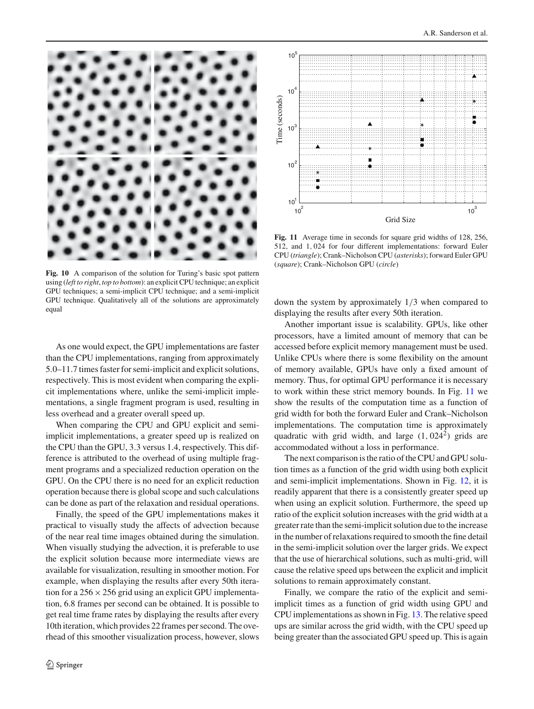

 $10<sup>5</sup>$ Ä 10<sup>4</sup> Time (seconds) Time (seconds)  $10<sup>3</sup>$  $10^2$ 101  $10<sup>3</sup>$  $10^2$ Grid Size

<span id="page-11-1"></span>**Fig. 11** Average time in seconds for square grid widths of 128, 256, 512, and 1, 024 for four different implementations: forward Euler CPU (*triangle*); Crank–Nicholson CPU (*asterisks*); forward Euler GPU (*square*); Crank–Nicholson GPU (*circle*)

<span id="page-11-0"></span>**Fig. 10** A comparison of the solution for Turing's basic spot pattern using (*left to right*, *top to bottom*): an explicit CPU technique; an explicit GPU techniques; a semi-implicit CPU technique; and a semi-implicit GPU technique. Qualitatively all of the solutions are approximately equal

As one would expect, the GPU implementations are faster than the CPU implementations, ranging from approximately 5.0–11.7 times faster for semi-implicit and explicit solutions, respectively. This is most evident when comparing the explicit implementations where, unlike the semi-implicit implementations, a single fragment program is used, resulting in less overhead and a greater overall speed up.

When comparing the CPU and GPU explicit and semiimplicit implementations, a greater speed up is realized on the CPU than the GPU, 3.3 versus 1.4, respectively. This difference is attributed to the overhead of using multiple fragment programs and a specialized reduction operation on the GPU. On the CPU there is no need for an explicit reduction operation because there is global scope and such calculations can be done as part of the relaxation and residual operations.

Finally, the speed of the GPU implementations makes it practical to visually study the affects of advection because of the near real time images obtained during the simulation. When visually studying the advection, it is preferable to use the explicit solution because more intermediate views are available for visualization, resulting in smoother motion. For example, when displaying the results after every 50th iteration for a  $256 \times 256$  grid using an explicit GPU implementation, 6.8 frames per second can be obtained. It is possible to get real time frame rates by displaying the results after every 10th iteration, which provides 22 frames per second. The overhead of this smoother visualization process, however, slows down the system by approximately 1/3 when compared to displaying the results after every 50th iteration.

Another important issue is scalability. GPUs, like other processors, have a limited amount of memory that can be accessed before explicit memory management must be used. Unlike CPUs where there is some flexibility on the amount of memory available, GPUs have only a fixed amount of memory. Thus, for optimal GPU performance it is necessary to work within these strict memory bounds. In Fig. [11](#page-11-1) we show the results of the computation time as a function of grid width for both the forward Euler and Crank–Nicholson implementations. The computation time is approximately quadratic with grid width, and large  $(1, 024^2)$  grids are accommodated without a loss in performance.

The next comparison is the ratio of the CPU and GPU solution times as a function of the grid width using both explicit and semi-implicit implementations. Shown in Fig. [12,](#page-12-0) it is readily apparent that there is a consistently greater speed up when using an explicit solution. Furthermore, the speed up ratio of the explicit solution increases with the grid width at a greater rate than the semi-implicit solution due to the increase in the number of relaxations required to smooth the fine detail in the semi-implicit solution over the larger grids. We expect that the use of hierarchical solutions, such as multi-grid, will cause the relative speed ups between the explicit and implicit solutions to remain approximately constant.

Finally, we compare the ratio of the explicit and semiimplicit times as a function of grid width using GPU and CPU implementations as shown in Fig. [13.](#page-12-1) The relative speed ups are similar across the grid width, with the CPU speed up being greater than the associated GPU speed up. This is again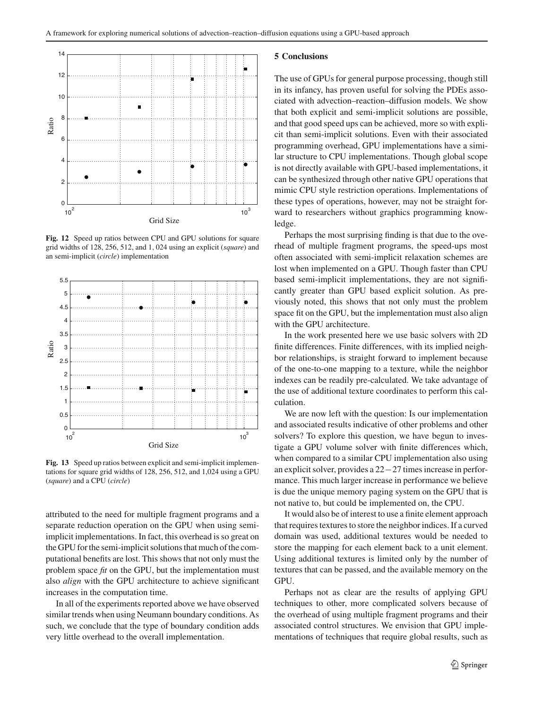

<span id="page-12-0"></span>**Fig. 12** Speed up ratios between CPU and GPU solutions for square grid widths of 128, 256, 512, and 1, 024 using an explicit (*square*) and an semi-implicit (*circle*) implementation



<span id="page-12-1"></span>**Fig. 13** Speed up ratios between explicit and semi-implicit implementations for square grid widths of 128, 256, 512, and 1,024 using a GPU (*square*) and a CPU (*circle*)

attributed to the need for multiple fragment programs and a separate reduction operation on the GPU when using semiimplicit implementations. In fact, this overhead is so great on the GPU for the semi-implicit solutions that much of the computational benefits are lost. This shows that not only must the problem space *fit* on the GPU, but the implementation must also *align* with the GPU architecture to achieve significant increases in the computation time.

In all of the experiments reported above we have observed similar trends when using Neumann boundary conditions. As such, we conclude that the type of boundary condition adds very little overhead to the overall implementation.

#### **5 Conclusions**

The use of GPUs for general purpose processing, though still in its infancy, has proven useful for solving the PDEs associated with advection–reaction–diffusion models. We show that both explicit and semi-implicit solutions are possible, and that good speed ups can be achieved, more so with explicit than semi-implicit solutions. Even with their associated programming overhead, GPU implementations have a similar structure to CPU implementations. Though global scope is not directly available with GPU-based implementations, it can be synthesized through other native GPU operations that mimic CPU style restriction operations. Implementations of these types of operations, however, may not be straight forward to researchers without graphics programming knowledge.

Perhaps the most surprising finding is that due to the overhead of multiple fragment programs, the speed-ups most often associated with semi-implicit relaxation schemes are lost when implemented on a GPU. Though faster than CPU based semi-implicit implementations, they are not significantly greater than GPU based explicit solution. As previously noted, this shows that not only must the problem space fit on the GPU, but the implementation must also align with the GPU architecture.

In the work presented here we use basic solvers with 2D finite differences. Finite differences, with its implied neighbor relationships, is straight forward to implement because of the one-to-one mapping to a texture, while the neighbor indexes can be readily pre-calculated. We take advantage of the use of additional texture coordinates to perform this calculation.

We are now left with the question: Is our implementation and associated results indicative of other problems and other solvers? To explore this question, we have begun to investigate a GPU volume solver with finite differences which, when compared to a similar CPU implementation also using an explicit solver, provides a 22−27 times increase in performance. This much larger increase in performance we believe is due the unique memory paging system on the GPU that is not native to, but could be implemented on, the CPU.

It would also be of interest to use a finite element approach that requires textures to store the neighbor indices. If a curved domain was used, additional textures would be needed to store the mapping for each element back to a unit element. Using additional textures is limited only by the number of textures that can be passed, and the available memory on the GPU.

Perhaps not as clear are the results of applying GPU techniques to other, more complicated solvers because of the overhead of using multiple fragment programs and their associated control structures. We envision that GPU implementations of techniques that require global results, such as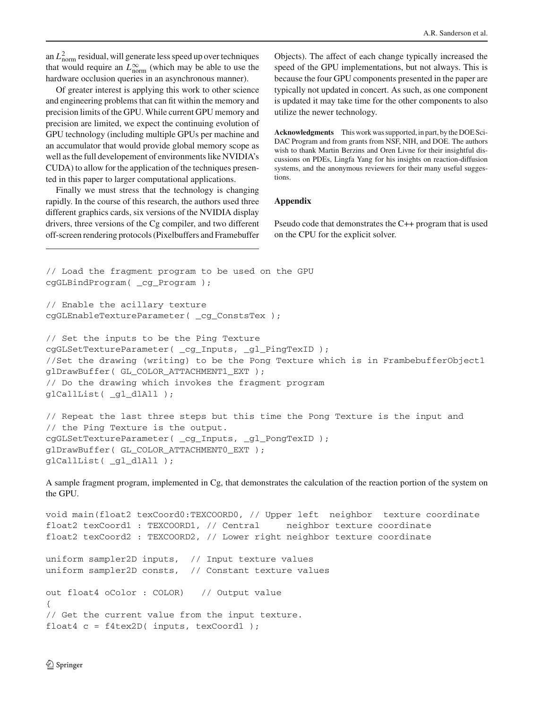an  $L_{\text{norm}}^2$  residual, will generate less speed up over techniques that would require an  $L^{\infty}_{\text{norm}}$  (which may be able to use the hardware occlusion queries in an asynchronous manner).

Of greater interest is applying this work to other science and engineering problems that can fit within the memory and precision limits of the GPU. While current GPU memory and precision are limited, we expect the continuing evolution of GPU technology (including multiple GPUs per machine and an accumulator that would provide global memory scope as well as the full developement of environments like NVIDIA's CUDA) to allow for the application of the techniques presented in this paper to larger computational applications.

Finally we must stress that the technology is changing rapidly. In the course of this research, the authors used three different graphics cards, six versions of the NVIDIA display drivers, three versions of the Cg compiler, and two different off-screen rendering protocols (Pixelbuffers and Framebuffer Objects). The affect of each change typically increased the speed of the GPU implementations, but not always. This is because the four GPU components presented in the paper are typically not updated in concert. As such, as one component is updated it may take time for the other components to also utilize the newer technology.

**Acknowledgments** This work was supported, in part, by the DOE Sci-DAC Program and from grants from NSF, NIH, and DOE. The authors wish to thank Martin Berzins and Oren Livne for their insightful discussions on PDEs, Lingfa Yang for his insights on reaction-diffusion systems, and the anonymous reviewers for their many useful suggestions.

#### **Appendix**

Pseudo code that demonstrates the C++ program that is used on the CPU for the explicit solver.

```
// Load the fragment program to be used on the GPU
cgGLBindProgram( _cg_Program );
// Enable the acillary texture
cgGLEnableTextureParameter( _cg_ConstsTex );
// Set the inputs to be the Ping Texture
cgGLSetTextureParameter( _cg_Inputs, _gl_PingTexID );
//Set the drawing (writing) to be the Pong Texture which is in FrambebufferObject1
glDrawBuffer( GL_COLOR_ATTACHMENT1_EXT );
// Do the drawing which invokes the fragment program
glCallList( _gl_dlAll );
```

```
// Repeat the last three steps but this time the Pong Texture is the input and
// the Ping Texture is the output.
cgGLSetTextureParameter( _cg_Inputs, _gl_PongTexID );
glDrawBuffer( GL_COLOR_ATTACHMENT0_EXT );
glCallList( _gl_dlAll );
```
A sample fragment program, implemented in Cg, that demonstrates the calculation of the reaction portion of the system on the GPU.

```
void main(float2 texCoord0:TEXCOORD0, // Upper left neighbor texture coordinate
float2 texCoord1 : TEXCOORD1, // Central neighbor texture coordinate
float2 texCoord2 : TEXCOORD2, // Lower right neighbor texture coordinate
uniform sampler2D inputs, // Input texture values
uniform sampler2D consts, // Constant texture values
out float4 oColor : COLOR) // Output value
{
```

```
// Get the current value from the input texture.
float4 c = f4tex2D( inputs, texCoord1 );
```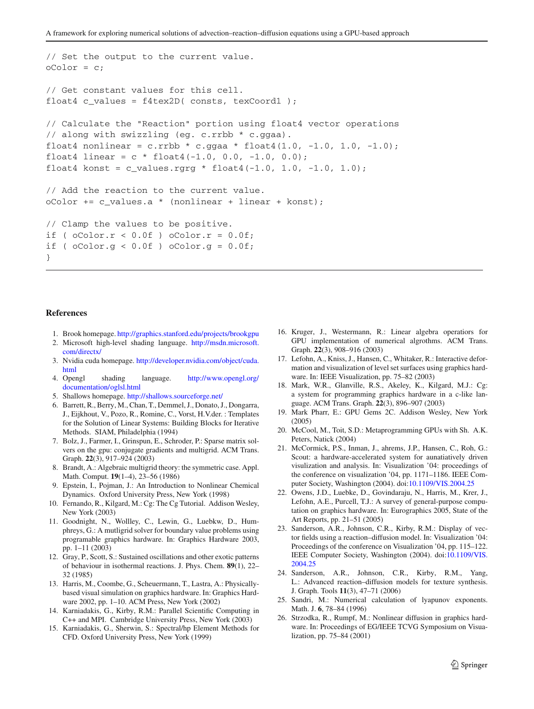```
// Set the output to the current value.
oColor = c;
// Get constant values for this cell.
float4 c values = f4tex2D( consts, texCoord1 );
// Calculate the "Reaction" portion using float4 vector operations
// along with swizzling (eg. c.rrbb * c.ggaa).
float4 nonlinear = c.rrbb * c.ggaa * float4(1.0, -1.0, 1.0, -1.0);
float4 linear = c * float4(-1.0, 0.0, -1.0, 0.0);
float4 konst = c_values.rgrg * float4(-1.0, 1.0, -1.0, 1.0);
// Add the reaction to the current value.
oColor += c values.a * (nonlinear + linear + konst);
// Clamp the values to be positive.
if ( oColor.r < 0.0f ) oColor.r = 0.0f;
if ( oColor.g < 0.0f ) oColor.g = 0.0f;
}
```
#### <span id="page-14-8"></span>**References**

- 1. Brook homepage. <http://graphics.stanford.edu/projects/brookgpu>
- <span id="page-14-7"></span>2. Microsoft high-level shading language. [http://msdn.microsoft.](http://msdn.microsoft.com/directx/) [com/directx/](http://msdn.microsoft.com/directx/)
- <span id="page-14-12"></span>3. Nvidia cuda homepage. [http://developer.nvidia.com/object/cuda.](http://developer.nvidia.com/object/cuda.html) [html](http://developer.nvidia.com/object/cuda.html)
- <span id="page-14-5"></span>4. Opengl shading language. [http://www.opengl.org/](http://www.opengl.org/documentation/oglsl.html) [documentation/oglsl.html](http://www.opengl.org/documentation/oglsl.html)
- <span id="page-14-11"></span>5. Shallows homepage. <http://shallows.sourceforge.net/>
- <span id="page-14-25"></span>6. Barrett, R., Berry, M., Chan, T., Demmel, J., Donato, J., Dongarra, J., Eijkhout, V., Pozo, R., Romine, C., Vorst, H.V.der. : Templates for the Solution of Linear Systems: Building Blocks for Iterative Methods. SIAM, Philadelphia (1994)
- <span id="page-14-18"></span>7. Bolz, J., Farmer, I., Grinspun, E., Schroder, P.: Sparse matrix solvers on the gpu: conjugate gradients and multigrid. ACM Trans. Graph. **22**(3), 917–924 (2003)
- <span id="page-14-23"></span>8. Brandt, A.: Algebraic multigrid theory: the symmetric case. Appl. Math. Comput. **19**(1–4), 23–56 (1986)
- <span id="page-14-1"></span>9. Epstein, I., Pojman, J.: An Introduction to Nonlinear Chemical Dynamics. Oxford University Press, New York (1998)
- <span id="page-14-6"></span>10. Fernando, R., Kilgard, M.: Cg: The Cg Tutorial. Addison Wesley, New York (2003)
- <span id="page-14-19"></span>11. Goodnight, N., Wollley, C., Lewin, G., Luebkw, D., Humphreys, G.: A mutligrid solver for boundary value problems using programable graphics hardware. In: Graphics Hardware 2003, pp. 1–11 (2003)
- <span id="page-14-0"></span>12. Gray, P., Scott, S.: Sustained oscillations and other exotic patterns of behaviour in isothermal reactions. J. Phys. Chem. **89**(1), 22– 32 (1985)
- <span id="page-14-15"></span>13. Harris, M., Coombe, G., Scheuermann, T., Lastra, A.: Physicallybased visual simulation on graphics hardware. In: Graphics Hardware 2002, pp. 1–10. ACM Press, New York (2002)
- <span id="page-14-21"></span>14. Karniadakis, G., Kirby, R.M.: Parallel Scientific Computing in C++ and MPI. Cambridge University Press, New York (2003)
- <span id="page-14-22"></span>15. Karniadakis, G., Sherwin, S.: Spectral/hp Element Methods for CFD. Oxford University Press, New York (1999)
- <span id="page-14-17"></span>16. Kruger, J., Westermann, R.: Linear algebra operatiors for GPU implementation of numerical algrothms. ACM Trans. Graph. **22**(3), 908–916 (2003)
- <span id="page-14-16"></span>17. Lefohn, A., Kniss, J., Hansen, C., Whitaker, R.: Interactive deformation and visualization of level set surfaces using graphics hardware. In: IEEE Visualization, pp. 75–82 (2003)
- <span id="page-14-24"></span>18. Mark, W.R., Glanville, R.S., Akeley, K., Kilgard, M.J.: Cg: a system for programming graphics hardware in a c-like language. ACM Trans. Graph. **22**(3), 896–907 (2003)
- <span id="page-14-4"></span>19. Mark Pharr, E.: GPU Gems 2C. Addison Wesley, New York (2005)
- <span id="page-14-10"></span>20. McCool, M., Toit, S.D.: Metaprogramming GPUs with Sh. A.K. Peters, Natick (2004)
- <span id="page-14-9"></span>21. McCormick, P.S., Inman, J., ahrems, J.P., Hansen, C., Roh, G.: Scout: a hardware-accelerated system for aunatiatively driven visulization and analysis. In: Visualization '04: proceedings of the conference on visualization '04, pp. 1171–1186. IEEE Computer Society, Washington (2004). doi[:10.1109/VIS.2004.25](http://dx.doi.org/10.1109/VIS.2004.25)
- <span id="page-14-20"></span>22. Owens, J.D., Luebke, D., Govindaraju, N., Harris, M., Krer, J., Lefohn, A.E., Purcell, T.J.: A survey of general-purpose computation on graphics hardware. In: Eurographics 2005, State of the Art Reports, pp. 21–51 (2005)
- <span id="page-14-3"></span>23. Sanderson, A.R., Johnson, C.R., Kirby, R.M.: Display of vector fields using a reaction–diffusion model. In: Visualization '04: Proceedings of the conference on Visualization '04, pp. 115–122. IEEE Computer Society, Washington (2004). doi[:10.1109/VIS.](http://dx.doi.org/10.1109/VIS.2004.25) [2004.25](http://dx.doi.org/10.1109/VIS.2004.25)
- <span id="page-14-2"></span>24. Sanderson, A.R., Johnson, C.R., Kirby, R.M., Yang, L.: Advanced reaction–diffusion models for texture synthesis. J. Graph. Tools **11**(3), 47–71 (2006)
- <span id="page-14-13"></span>25. Sandri, M.: Numerical calculation of lyapunov exponents. Math. J. **6**, 78–84 (1996)
- <span id="page-14-14"></span>26. Strzodka, R., Rumpf, M.: Nonlinear diffusion in graphics hardware. In: Proceedings of EG/IEEE TCVG Symposium on Visualization, pp. 75–84 (2001)